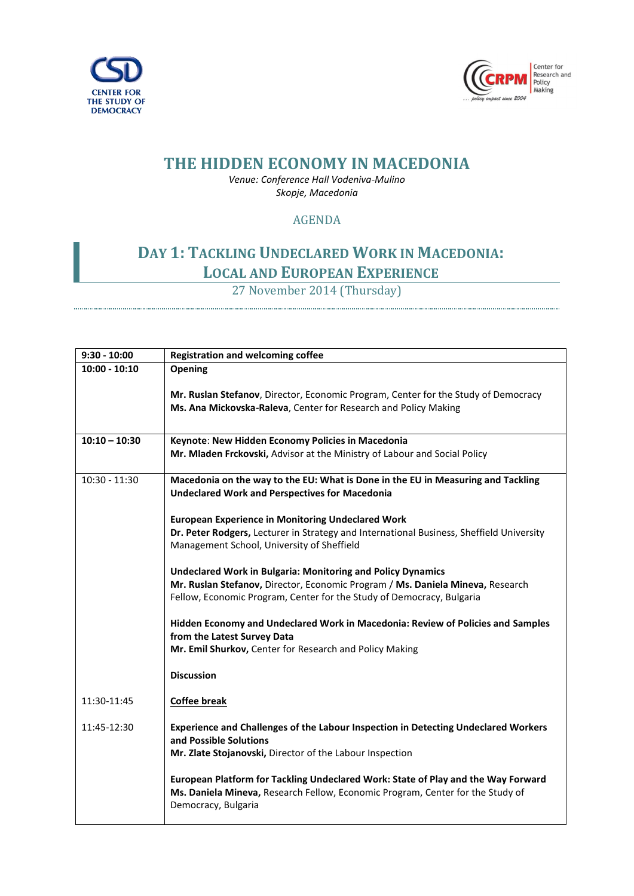



## **THE HIDDEN ECONOMY IN MACEDONIA**

*Venue: Conference Hall Vodeniva-Mulino Skopje, Macedonia*

## AGENDA

## **DAY 1: TACKLING UNDECLARED WORK IN MACEDONIA: LOCAL AND EUROPEAN EXPERIENCE**

27 November 2014 (Thursday)

| $9:30 - 10:00$  | <b>Registration and welcoming coffee</b>                                                                                                                                                                                      |
|-----------------|-------------------------------------------------------------------------------------------------------------------------------------------------------------------------------------------------------------------------------|
| $10:00 - 10:10$ | Opening                                                                                                                                                                                                                       |
|                 | Mr. Ruslan Stefanov, Director, Economic Program, Center for the Study of Democracy<br>Ms. Ana Mickovska-Raleva, Center for Research and Policy Making                                                                         |
| $10:10 - 10:30$ | Keynote: New Hidden Economy Policies in Macedonia                                                                                                                                                                             |
|                 | Mr. Mladen Frckovski, Advisor at the Ministry of Labour and Social Policy                                                                                                                                                     |
| $10:30 - 11:30$ | Macedonia on the way to the EU: What is Done in the EU in Measuring and Tackling<br><b>Undeclared Work and Perspectives for Macedonia</b>                                                                                     |
|                 | <b>European Experience in Monitoring Undeclared Work</b>                                                                                                                                                                      |
|                 | Dr. Peter Rodgers, Lecturer in Strategy and International Business, Sheffield University                                                                                                                                      |
|                 | Management School, University of Sheffield                                                                                                                                                                                    |
|                 | <b>Undeclared Work in Bulgaria: Monitoring and Policy Dynamics</b><br>Mr. Ruslan Stefanov, Director, Economic Program / Ms. Daniela Mineva, Research<br>Fellow, Economic Program, Center for the Study of Democracy, Bulgaria |
|                 | Hidden Economy and Undeclared Work in Macedonia: Review of Policies and Samples<br>from the Latest Survey Data                                                                                                                |
|                 | Mr. Emil Shurkov, Center for Research and Policy Making                                                                                                                                                                       |
|                 | <b>Discussion</b>                                                                                                                                                                                                             |
| 11:30-11:45     | <b>Coffee break</b>                                                                                                                                                                                                           |
| 11:45-12:30     | Experience and Challenges of the Labour Inspection in Detecting Undeclared Workers<br>and Possible Solutions<br>Mr. Zlate Stojanovski, Director of the Labour Inspection                                                      |
|                 | European Platform for Tackling Undeclared Work: State of Play and the Way Forward<br>Ms. Daniela Mineva, Research Fellow, Economic Program, Center for the Study of<br>Democracy, Bulgaria                                    |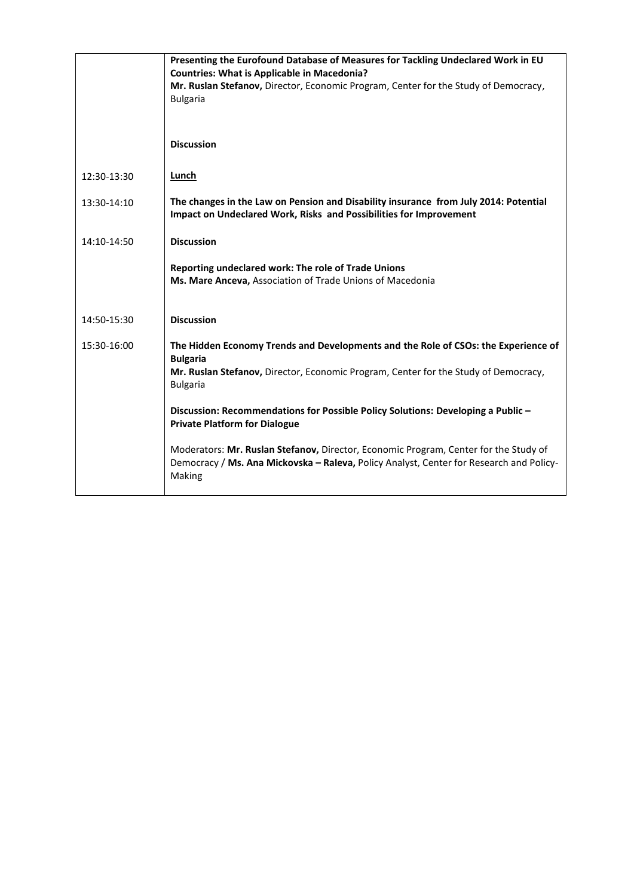|             | Presenting the Eurofound Database of Measures for Tackling Undeclared Work in EU<br><b>Countries: What is Applicable in Macedonia?</b><br>Mr. Ruslan Stefanov, Director, Economic Program, Center for the Study of Democracy,<br><b>Bulgaria</b> |
|-------------|--------------------------------------------------------------------------------------------------------------------------------------------------------------------------------------------------------------------------------------------------|
|             | <b>Discussion</b>                                                                                                                                                                                                                                |
| 12:30-13:30 | Lunch                                                                                                                                                                                                                                            |
| 13:30-14:10 | The changes in the Law on Pension and Disability insurance from July 2014: Potential<br>Impact on Undeclared Work, Risks and Possibilities for Improvement                                                                                       |
| 14:10-14:50 | <b>Discussion</b>                                                                                                                                                                                                                                |
|             | Reporting undeclared work: The role of Trade Unions<br>Ms. Mare Anceva, Association of Trade Unions of Macedonia                                                                                                                                 |
| 14:50-15:30 | <b>Discussion</b>                                                                                                                                                                                                                                |
| 15:30-16:00 | The Hidden Economy Trends and Developments and the Role of CSOs: the Experience of<br><b>Bulgaria</b><br>Mr. Ruslan Stefanov, Director, Economic Program, Center for the Study of Democracy,<br><b>Bulgaria</b>                                  |
|             | Discussion: Recommendations for Possible Policy Solutions: Developing a Public -<br><b>Private Platform for Dialogue</b>                                                                                                                         |
|             | Moderators: Mr. Ruslan Stefanov, Director, Economic Program, Center for the Study of<br>Democracy / Ms. Ana Mickovska - Raleva, Policy Analyst, Center for Research and Policy-<br>Making                                                        |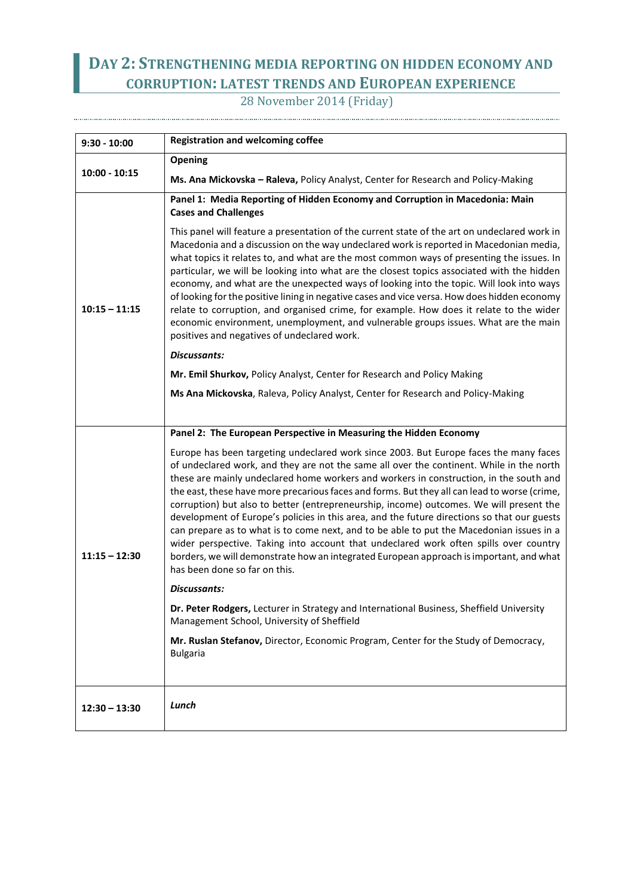## **DAY 2: STRENGTHENING MEDIA REPORTING ON HIDDEN ECONOMY AND CORRUPTION: LATEST TRENDS AND EUROPEAN EXPERIENCE**

28 November 2014 (Friday) 

| $9:30 - 10:00$  | <b>Registration and welcoming coffee</b>                                                                                                                                                                                                                                                                                                                                                                                                                                                                                                                                                                                                                                                                                                                                                                                                                                               |
|-----------------|----------------------------------------------------------------------------------------------------------------------------------------------------------------------------------------------------------------------------------------------------------------------------------------------------------------------------------------------------------------------------------------------------------------------------------------------------------------------------------------------------------------------------------------------------------------------------------------------------------------------------------------------------------------------------------------------------------------------------------------------------------------------------------------------------------------------------------------------------------------------------------------|
| $10:00 - 10:15$ | Opening                                                                                                                                                                                                                                                                                                                                                                                                                                                                                                                                                                                                                                                                                                                                                                                                                                                                                |
|                 | Ms. Ana Mickovska - Raleva, Policy Analyst, Center for Research and Policy-Making                                                                                                                                                                                                                                                                                                                                                                                                                                                                                                                                                                                                                                                                                                                                                                                                      |
| $10:15 - 11:15$ | Panel 1: Media Reporting of Hidden Economy and Corruption in Macedonia: Main<br><b>Cases and Challenges</b>                                                                                                                                                                                                                                                                                                                                                                                                                                                                                                                                                                                                                                                                                                                                                                            |
|                 | This panel will feature a presentation of the current state of the art on undeclared work in<br>Macedonia and a discussion on the way undeclared work is reported in Macedonian media,<br>what topics it relates to, and what are the most common ways of presenting the issues. In<br>particular, we will be looking into what are the closest topics associated with the hidden<br>economy, and what are the unexpected ways of looking into the topic. Will look into ways<br>of looking for the positive lining in negative cases and vice versa. How does hidden economy<br>relate to corruption, and organised crime, for example. How does it relate to the wider<br>economic environment, unemployment, and vulnerable groups issues. What are the main<br>positives and negatives of undeclared work.                                                                         |
|                 | Discussants:                                                                                                                                                                                                                                                                                                                                                                                                                                                                                                                                                                                                                                                                                                                                                                                                                                                                           |
|                 | Mr. Emil Shurkov, Policy Analyst, Center for Research and Policy Making                                                                                                                                                                                                                                                                                                                                                                                                                                                                                                                                                                                                                                                                                                                                                                                                                |
|                 | Ms Ana Mickovska, Raleva, Policy Analyst, Center for Research and Policy-Making                                                                                                                                                                                                                                                                                                                                                                                                                                                                                                                                                                                                                                                                                                                                                                                                        |
|                 |                                                                                                                                                                                                                                                                                                                                                                                                                                                                                                                                                                                                                                                                                                                                                                                                                                                                                        |
|                 | Panel 2: The European Perspective in Measuring the Hidden Economy                                                                                                                                                                                                                                                                                                                                                                                                                                                                                                                                                                                                                                                                                                                                                                                                                      |
| $11:15 - 12:30$ | Europe has been targeting undeclared work since 2003. But Europe faces the many faces<br>of undeclared work, and they are not the same all over the continent. While in the north<br>these are mainly undeclared home workers and workers in construction, in the south and<br>the east, these have more precarious faces and forms. But they all can lead to worse (crime,<br>corruption) but also to better (entrepreneurship, income) outcomes. We will present the<br>development of Europe's policies in this area, and the future directions so that our guests<br>can prepare as to what is to come next, and to be able to put the Macedonian issues in a<br>wider perspective. Taking into account that undeclared work often spills over country<br>borders, we will demonstrate how an integrated European approach is important, and what<br>has been done so far on this. |
|                 | <b>Discussants:</b>                                                                                                                                                                                                                                                                                                                                                                                                                                                                                                                                                                                                                                                                                                                                                                                                                                                                    |
|                 | Dr. Peter Rodgers, Lecturer in Strategy and International Business, Sheffield University<br>Management School, University of Sheffield                                                                                                                                                                                                                                                                                                                                                                                                                                                                                                                                                                                                                                                                                                                                                 |
|                 | Mr. Ruslan Stefanov, Director, Economic Program, Center for the Study of Democracy,<br><b>Bulgaria</b>                                                                                                                                                                                                                                                                                                                                                                                                                                                                                                                                                                                                                                                                                                                                                                                 |
| $12:30 - 13:30$ | Lunch                                                                                                                                                                                                                                                                                                                                                                                                                                                                                                                                                                                                                                                                                                                                                                                                                                                                                  |